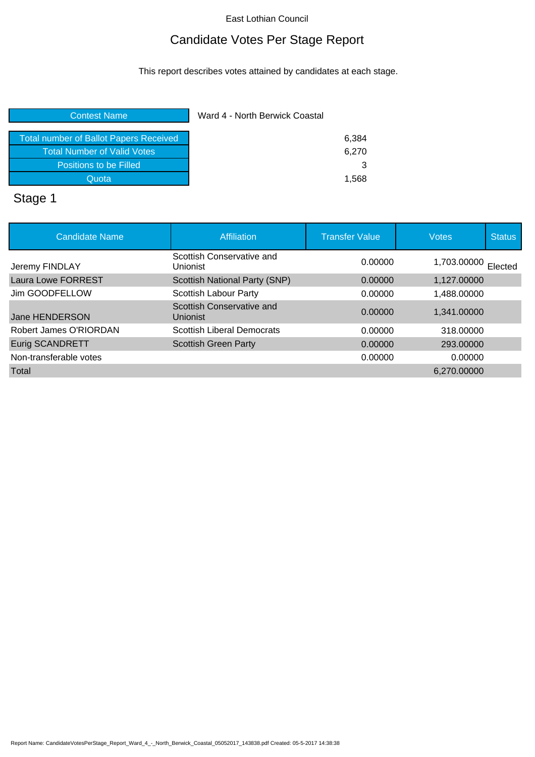# Candidate Votes Per Stage Report

This report describes votes attained by candidates at each stage.

| <b>Contest Name</b>                           | Ward 4 - North Berwick Coastal |  |
|-----------------------------------------------|--------------------------------|--|
|                                               |                                |  |
| <b>Total number of Ballot Papers Received</b> | 6,384                          |  |
| <b>Total Number of Valid Votes</b>            | 6,270                          |  |
| Positions to be Filled                        | 3                              |  |
| Quota                                         | 1.568                          |  |
| <b>.</b>                                      |                                |  |

### Stage 1

| <b>Candidate Name</b>     | Affiliation                           | <b>Transfer Value</b> | <b>Votes</b> | <b>Status</b> |
|---------------------------|---------------------------------------|-----------------------|--------------|---------------|
| Jeremy FINDLAY            | Scottish Conservative and<br>Unionist | 0.00000               | 1,703.00000  | Elected       |
| <b>Laura Lowe FORREST</b> | Scottish National Party (SNP)         | 0.00000               | 1,127.00000  |               |
| Jim GOODFELLOW            | Scottish Labour Party                 | 0.00000               | 1,488.00000  |               |
| Jane HENDERSON            | Scottish Conservative and<br>Unionist | 0.00000               | 1,341.00000  |               |
| Robert James O'RIORDAN    | <b>Scottish Liberal Democrats</b>     | 0.00000               | 318,00000    |               |
| <b>Eurig SCANDRETT</b>    | <b>Scottish Green Party</b>           | 0.00000               | 293,00000    |               |
| Non-transferable votes    |                                       | 0.00000               | 0.00000      |               |
| Total                     |                                       |                       | 6.270.00000  |               |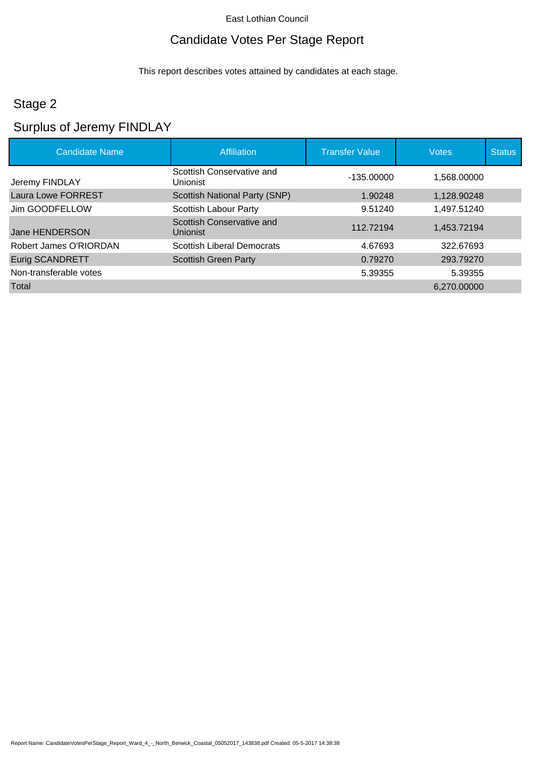# Candidate Votes Per Stage Report

This report describes votes attained by candidates at each stage.

# Stage 2

# Surplus of Jeremy FINDLAY

| <b>Candidate Name</b>     | <b>Affiliation</b>                    | <b>Transfer Value</b> | <b>Votes</b> | <b>Status</b> |
|---------------------------|---------------------------------------|-----------------------|--------------|---------------|
| Jeremy FINDLAY            | Scottish Conservative and<br>Unionist | $-135.00000$          | 1,568.00000  |               |
| <b>Laura Lowe FORREST</b> | Scottish National Party (SNP)         | 1.90248               | 1,128.90248  |               |
| Jim GOODFELLOW            | Scottish Labour Party                 | 9.51240               | 1,497.51240  |               |
| Jane HENDERSON            | Scottish Conservative and<br>Unionist | 112.72194             | 1,453.72194  |               |
| Robert James O'RIORDAN    | <b>Scottish Liberal Democrats</b>     | 4.67693               | 322.67693    |               |
| <b>Eurig SCANDRETT</b>    | <b>Scottish Green Party</b>           | 0.79270               | 293.79270    |               |
| Non-transferable votes    |                                       | 5.39355               | 5.39355      |               |
| Total                     |                                       |                       | 6,270.00000  |               |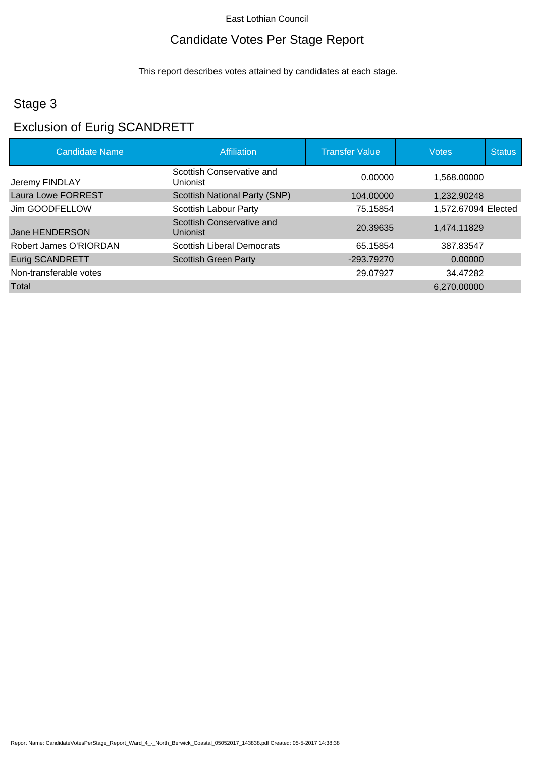# Candidate Votes Per Stage Report

This report describes votes attained by candidates at each stage.

# Stage 3

# Exclusion of Eurig SCANDRETT

| <b>Candidate Name</b>  | Affiliation                           | <b>Transfer Value</b> | <b>Votes</b>        | <b>Status</b> |
|------------------------|---------------------------------------|-----------------------|---------------------|---------------|
| Jeremy FINDLAY         | Scottish Conservative and<br>Unionist | 0.00000               | 1.568.00000         |               |
| Laura Lowe FORREST     | Scottish National Party (SNP)         | 104.00000             | 1,232.90248         |               |
| Jim GOODFELLOW         | Scottish Labour Party                 | 75.15854              | 1,572.67094 Elected |               |
| Jane HENDERSON         | Scottish Conservative and<br>Unionist | 20.39635              | 1,474.11829         |               |
| Robert James O'RIORDAN | <b>Scottish Liberal Democrats</b>     | 65.15854              | 387.83547           |               |
| <b>Eurig SCANDRETT</b> | <b>Scottish Green Party</b>           | -293.79270            | 0.00000             |               |
| Non-transferable votes |                                       | 29.07927              | 34.47282            |               |
| Total                  |                                       |                       | 6.270.00000         |               |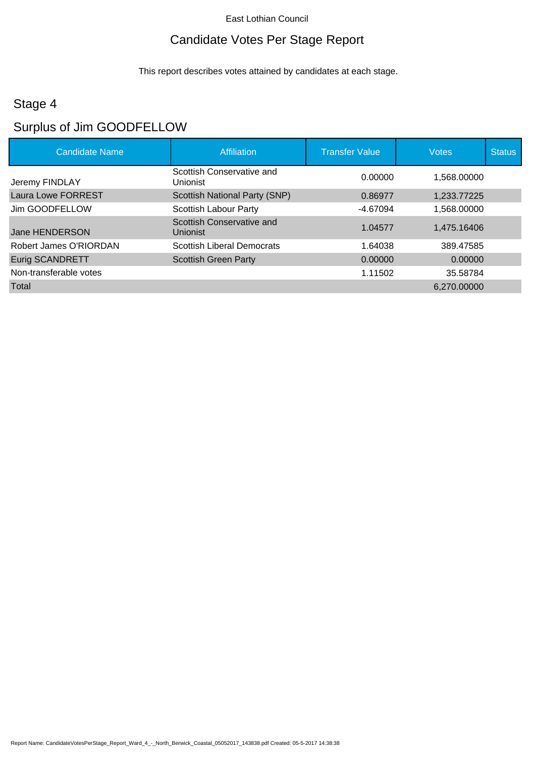# Candidate Votes Per Stage Report

This report describes votes attained by candidates at each stage.

# Stage 4

# Surplus of Jim GOODFELLOW

| <b>Candidate Name</b>  | Affiliation                                  | <b>Transfer Value</b> | <b>Votes</b> | <b>Status</b> |
|------------------------|----------------------------------------------|-----------------------|--------------|---------------|
| Jeremy FINDLAY         | Scottish Conservative and<br><b>Unionist</b> | 0.00000               | 1.568.00000  |               |
| Laura Lowe FORREST     | Scottish National Party (SNP)                | 0.86977               | 1,233.77225  |               |
| Jim GOODFELLOW         | Scottish Labour Party                        | -4.67094              | 1.568.00000  |               |
| Jane HENDERSON         | Scottish Conservative and<br>Unionist        | 1.04577               | 1,475.16406  |               |
| Robert James O'RIORDAN | <b>Scottish Liberal Democrats</b>            | 1.64038               | 389.47585    |               |
| <b>Eurig SCANDRETT</b> | <b>Scottish Green Party</b>                  | 0.00000               | 0.00000      |               |
| Non-transferable votes |                                              | 1.11502               | 35.58784     |               |
| Total                  |                                              |                       | 6.270.00000  |               |